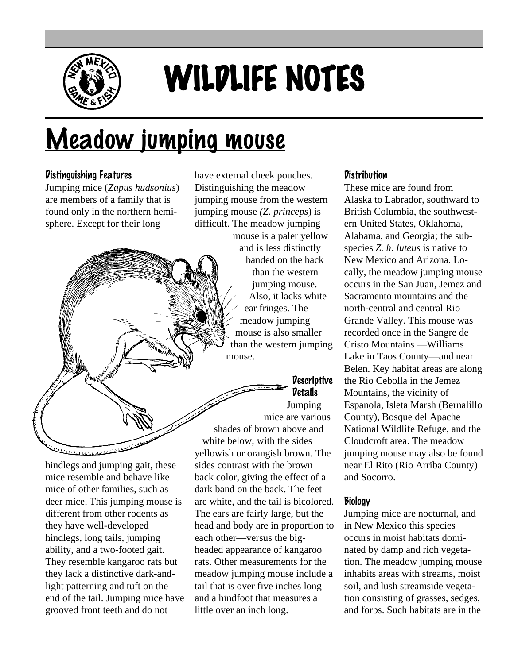

# WILDLIFE NOTES

# Meadow jumping mouse

## Distinguishing Features

Jumping mice (*Zapus hudsonius*) are members of a family that is found only in the northern hemisphere. Except for their long

have external cheek pouches. Distinguishing the meadow jumping mouse from the western jumping mouse *(Z. princeps*) is difficult. The meadow jumping mouse is a paler yellow and is less distinctly banded on the back than the western jumping mouse. Also, it lacks white ear fringes. The meadow jumping mouse is also smaller than the western jumping



hindlegs and jumping gait, these mice resemble and behave like mice of other families, such as deer mice. This jumping mouse is different from other rodents as they have well-developed hindlegs, long tails, jumping ability, and a two-footed gait. They resemble kangaroo rats but they lack a distinctive dark-andlight patterning and tuft on the end of the tail. Jumping mice have grooved front teeth and do not

Descriptive Details Jumping

mice are various shades of brown above and white below, with the sides yellowish or orangish brown. The sides contrast with the brown back color, giving the effect of a dark band on the back. The feet are white, and the tail is bicolored. The ears are fairly large, but the head and body are in proportion to each other—versus the bigheaded appearance of kangaroo rats. Other measurements for the meadow jumping mouse include a tail that is over five inches long and a hindfoot that measures a little over an inch long.

### **Distribution**

These mice are found from Alaska to Labrador, southward to British Columbia, the southwestern United States, Oklahoma, Alabama, and Georgia; the subspecies *Z. h. luteus* is native to New Mexico and Arizona. Locally, the meadow jumping mouse occurs in the San Juan, Jemez and Sacramento mountains and the north-central and central Rio Grande Valley. This mouse was recorded once in the Sangre de Cristo Mountains —Williams Lake in Taos County—and near Belen. Key habitat areas are along the Rio Cebolla in the Jemez Mountains, the vicinity of Espanola, Isleta Marsh (Bernalillo County), Bosque del Apache National Wildlife Refuge, and the Cloudcroft area. The meadow jumping mouse may also be found near El Rito (Rio Arriba County) and Socorro.

### Biology

Jumping mice are nocturnal, and in New Mexico this species occurs in moist habitats dominated by damp and rich vegetation. The meadow jumping mouse inhabits areas with streams, moist soil, and lush streamside vegetation consisting of grasses, sedges, and forbs. Such habitats are in the